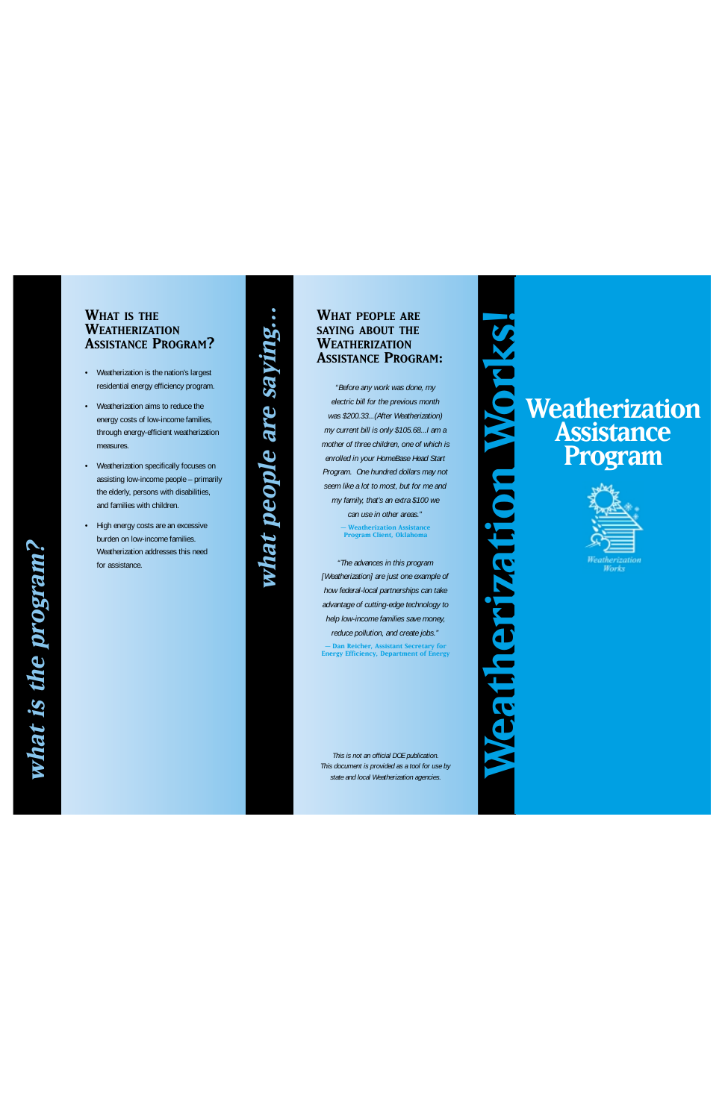**Weatherization Works!**

IKS

WHAT PEOPLE ARE<br>SAYING ABOUT THE **SAYING ABOUT THE WEATHERIZATION ASSISTANCE PROGRAM :**

*"Before any work was done, my electric bill for the previous month was \$200.33...(After Weatherization) my current bill is only \$105.68...I am a mother of three children, one of which is enrolled in your HomeBase Head Start Program. One hundred dollars may not seem like a lot to most, but for me and my family, that's an extra \$100 we can use in other areas."* **– Weatherization Assistance Program Client, Oklahoma**

*"The advances in this program [Weatherization] are just one example of how federal-local partnerships can take advantage of cutting-edge technology to help low-income families save money, reduce pollution, and create jobs."*  **– Dan Reicher, Assistant Secretary for Energy Efficiency, Department of Energy** 

**what people are saying…**what people are saying..

> *This is not an official DOE publication. This document is provided as a tool for use by state and local Weatherization agencies.*

# DIO **Weatherization Assistance Program** eatherization



#### **WHAT IS THE WEATHERIZATION ASSISTANCE PROGRAM ?**

- Weatherization is the nation's largest residential energy efficiency program.
- Weatherization aims to reduce the energy costs of low-income families, through energy-efficient weatherization measures.
- Weatherization specifically focuses on assisting low-income people – primarily the elderly, persons with disabilities, and families with children.
- High energy costs are an excessive burden on low-income families. Weatherization addresses this need for assistance.